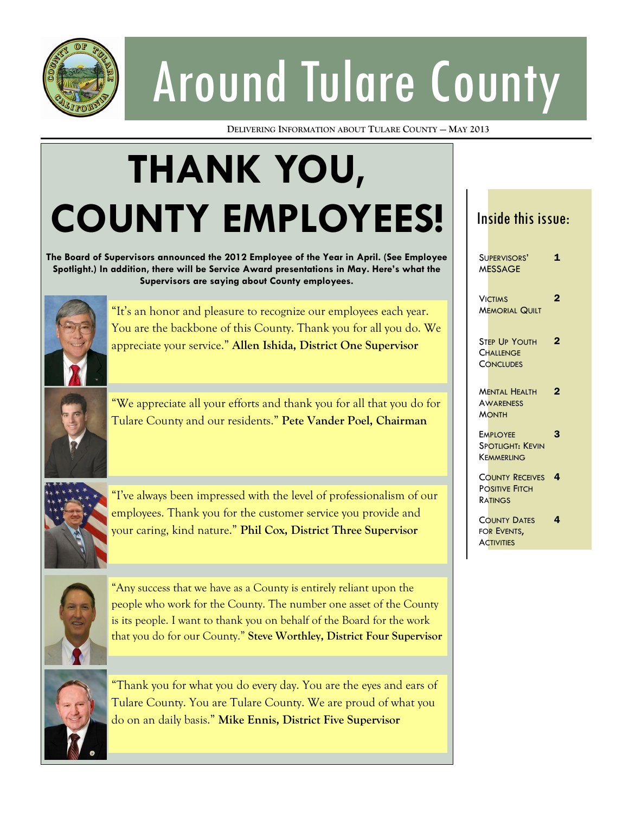

# Around Tulare County

**DELIVERING INFORMATION ABOUT TULARE COUNTY — MAY 2013**

## **THANK YOU, COUNTY EMPLOYEES!**

**The Board of Supervisors announced the 2012 Employee of the Year in April. (See Employee Spotlight.) In addition, there will be Service Award presentations in May. Here's what the Supervisors are saying about County employees.**



"It's an honor and pleasure to recognize our employees each year. You are the backbone of this County. Thank you for all you do. We appreciate your service." **Allen Ishida, District One Supervisor**



"We appreciate all your efforts and thank you for all that you do for Tulare County and our residents." **Pete Vander Poel, Chairman**



"I've always been impressed with the level of professionalism of our employees. Thank you for the customer service you provide and your caring, kind nature." **Phil Cox, District Three Supervisor**



"Any success that we have as a County is entirely reliant upon the people who work for the County. The number one asset of the County is its people. I want to thank you on behalf of the Board for the work that you do for our County." **Steve Worthley, District Four Supervisor**



"Thank you for what you do every day. You are the eyes and ears of Tulare County. You are Tulare County. We are proud of what you do on an daily basis." **Mike Ennis, District Five Supervisor**

#### Inside this issue:

| SUPERVISORS'<br>MESSAGE                                    | 1 |
|------------------------------------------------------------|---|
| <b>VICTIMS</b><br><b>MEMORIAL QUILT</b>                    | 2 |
| <b>STEP UP YOUTH</b><br>CHALLENGE<br><b>CONCLUDES</b>      | 2 |
| <b>MENTAL HEALTH</b><br><b>AWARENESS</b><br><b>MONTH</b>   | 2 |
| <b>EMPLOYEE</b><br><b>SPOTLIGHT: KEVIN</b><br>Kemmerling   | 3 |
| <b>COUNTY RECEIVES</b><br><b>POSITIVE FITCH</b><br>RATINGS | 4 |
| <b>COUNTY DATES</b><br>FOR EVENTS.<br><b>ACTIVITIES</b>    | 4 |
|                                                            |   |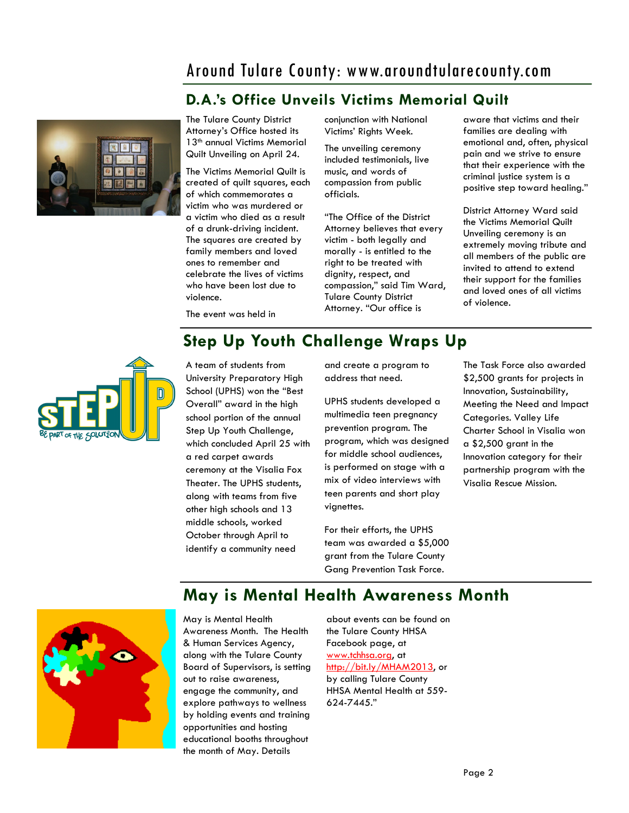## Around Tulare County: www.aroundtularecounty.com

#### **D.A.'s Office Unveils Victims Memorial Quilt**



The Tulare County District Attorney's Office hosted its 13<sup>th</sup> annual Victims Memorial Quilt Unveiling on April 24.

The Victims Memorial Quilt is created of quilt squares, each of which commemorates a victim who was murdered or a victim who died as a result of a drunk-driving incident. The squares are created by family members and loved ones to remember and celebrate the lives of victims who have been lost due to violence.

conjunction with National Victims' Rights Week.

The unveiling ceremony included testimonials, live music, and words of compassion from public officials.

"The Office of the District Attorney believes that every victim - both legally and morally - is entitled to the right to be treated with dignity, respect, and compassion," said Tim Ward, Tulare County District Attorney. "Our office is

aware that victims and their families are dealing with emotional and, often, physical pain and we strive to ensure that their experience with the criminal justice system is a positive step toward healing."

District Attorney Ward said the Victims Memorial Quilt Unveiling ceremony is an extremely moving tribute and all members of the public are invited to attend to extend their support for the families and loved ones of all victims of violence.

The event was held in

## **Step Up Youth Challenge Wraps Up**



A team of students from University Preparatory High School (UPHS) won the "Best Overall" award in the high school portion of the annual Step Up Youth Challenge, which concluded April 25 with a red carpet awards ceremony at the Visalia Fox Theater. The UPHS students, along with teams from five other high schools and 13 middle schools, worked October through April to identify a community need

and create a program to address that need.

UPHS students developed a multimedia teen pregnancy prevention program. The program, which was designed for middle school audiences, is performed on stage with a mix of video interviews with teen parents and short play vignettes.

For their efforts, the UPHS team was awarded a \$5,000 grant from the Tulare County Gang Prevention Task Force.

The Task Force also awarded \$2,500 grants for projects in Innovation, Sustainability, Meeting the Need and Impact Categories. Valley Life Charter School in Visalia won a \$2,500 grant in the Innovation category for their partnership program with the Visalia Rescue Mission.



## **May is Mental Health Awareness Month**

May is Mental Health Awareness Month. The Health & Human Services Agency, along with the Tulare County Board of Supervisors, is setting out to raise awareness, engage the community, and explore pathways to wellness by holding events and training opportunities and hosting educational booths throughout the month of May. Details

about events can be found on the Tulare County HHSA Facebook page, at www.tchhsa.org, at http://bit.ly/MHAM2013, or by calling Tulare County HHSA Mental Health at 559- 624-7445."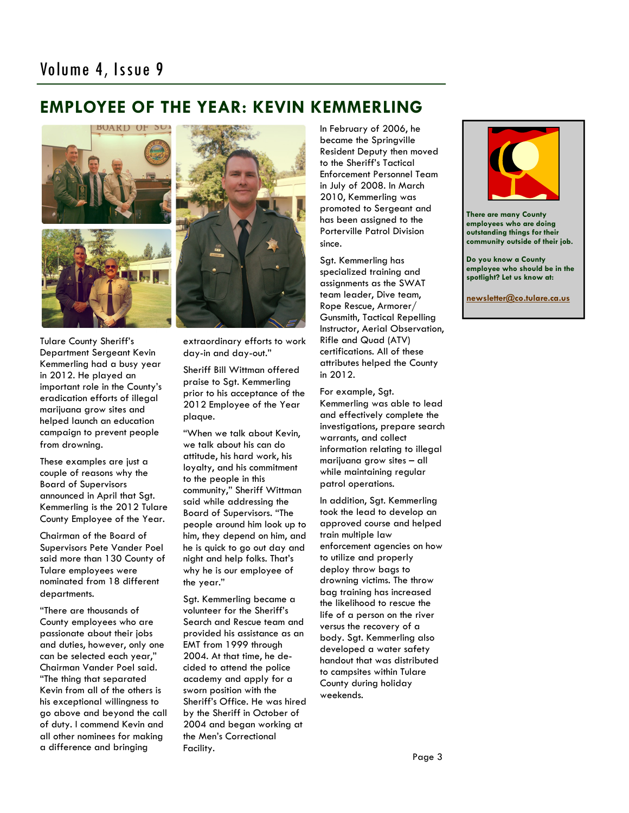## **EMPLOYEE OF THE YEAR: KEVIN KEMMERLING**



Tulare County Sheriff's Department Sergeant Kevin Kemmerling had a busy year in 2012. He played an important role in the County's eradication efforts of illegal marijuana grow sites and helped launch an education campaign to prevent people from drowning.

These examples are just a couple of reasons why the Board of Supervisors announced in April that Sgt. Kemmerling is the 2012 Tulare County Employee of the Year.

Chairman of the Board of Supervisors Pete Vander Poel said more than 130 County of Tulare employees were nominated from 18 different departments.

"There are thousands of County employees who are passionate about their jobs and duties, however, only one can be selected each year," Chairman Vander Poel said. "The thing that separated Kevin from all of the others is his exceptional willingness to go above and beyond the call of duty. I commend Kevin and all other nominees for making a difference and bringing



extraordinary efforts to work day-in and day-out."

Sheriff Bill Wittman offered praise to Sgt. Kemmerling prior to his acceptance of the 2012 Employee of the Year plaque.

"When we talk about Kevin, we talk about his can do attitude, his hard work, his loyalty, and his commitment to the people in this community," Sheriff Wittman said while addressing the Board of Supervisors. "The people around him look up to him, they depend on him, and he is quick to go out day and night and help folks. That's why he is our employee of the year."

Sgt. Kemmerling became a volunteer for the Sheriff's Search and Rescue team and provided his assistance as an EMT from 1999 through 2004. At that time, he decided to attend the police academy and apply for a sworn position with the Sheriff's Office. He was hired by the Sheriff in October of 2004 and began working at the Men's Correctional Facility.

In February of 2006, he became the Springville Resident Deputy then moved to the Sheriff's Tactical Enforcement Personnel Team in July of 2008. In March 2010, Kemmerling was promoted to Sergeant and has been assigned to the Porterville Patrol Division since.

Sgt. Kemmerling has specialized training and assignments as the SWAT team leader, Dive team, Rope Rescue, Armorer/ Gunsmith, Tactical Repelling Instructor, Aerial Observation, Rifle and Quad (ATV) certifications. All of these attributes helped the County in 2012.

For example, Sgt. Kemmerling was able to lead and effectively complete the investigations, prepare search warrants, and collect information relating to illegal marijuana grow sites – all while maintaining regular patrol operations.

In addition, Sgt. Kemmerling took the lead to develop an approved course and helped train multiple law enforcement agencies on how to utilize and properly deploy throw bags to drowning victims. The throw bag training has increased the likelihood to rescue the life of a person on the river versus the recovery of a body. Sgt. Kemmerling also developed a water safety handout that was distributed to campsites within Tulare County during holiday weekends.



**There are many County employees who are doing outstanding things for their community outside of their job.**

**Do you know a County employee who should be in the spotlight? Let us know at:** 

**[newsletter@co.tulare.ca.us](mailto:newsletter@co.tulare.ca.us?subject=Employee%20spotlight)**